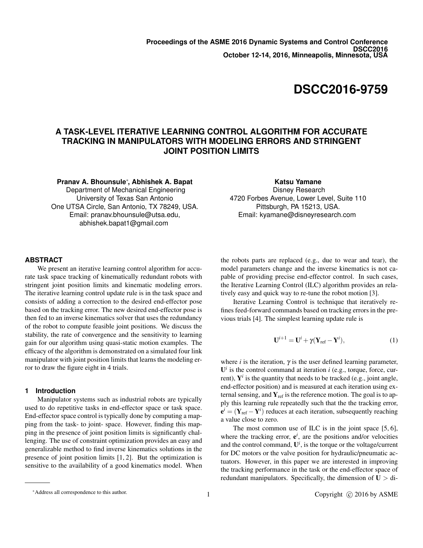# **DSCC2016-9759**

## **A TASK-LEVEL ITERATIVE LEARNING CONTROL ALGORITHM FOR ACCURATE TRACKING IN MANIPULATORS WITH MODELING ERRORS AND STRINGENT JOINT POSITION LIMITS**

**Pranav A. Bhounsule**<sup>∗</sup> **, Abhishek A. Bapat**

Department of Mechanical Engineering University of Texas San Antonio One UTSA Circle, San Antonio, TX 78249, USA. Email: pranav.bhounsule@utsa.edu, abhishek.bapat1@gmail.com

**Katsu Yamane** Disney Research

4720 Forbes Avenue, Lower Level, Suite 110 Pittsburgh, PA 15213, USA. Email: kyamane@disneyresearch.com

## **ABSTRACT**

We present an iterative learning control algorithm for accurate task space tracking of kinematically redundant robots with stringent joint position limits and kinematic modeling errors. The iterative learning control update rule is in the task space and consists of adding a correction to the desired end-effector pose based on the tracking error. The new desired end-effector pose is then fed to an inverse kinematics solver that uses the redundancy of the robot to compute feasible joint positions. We discuss the stability, the rate of convergence and the sensitivity to learning gain for our algorithm using quasi-static motion examples. The efficacy of the algorithm is demonstrated on a simulated four link manipulator with joint position limits that learns the modeling error to draw the figure eight in 4 trials.

#### **1 Introduction**

Manipulator systems such as industrial robots are typically used to do repetitive tasks in end-effector space or task space. End-effector space control is typically done by computing a mapping from the task- to joint- space. However, finding this mapping in the presence of joint position limits is significantly challenging. The use of constraint optimization provides an easy and generalizable method to find inverse kinematics solutions in the presence of joint position limits [1, 2]. But the optimization is sensitive to the availability of a good kinematics model. When

the robots parts are replaced (e.g., due to wear and tear), the model parameters change and the inverse kinematics is not capable of providing precise end-effector control. In such cases, the Iterative Learning Control (ILC) algorithm provides an relatively easy and quick way to re-tune the robot motion [3].

Iterative Learning Control is technique that iteratively refines feed-forward commands based on tracking errors in the previous trials [4]. The simplest learning update rule is

$$
\mathbf{U}^{i+1} = \mathbf{U}^i + \gamma (\mathbf{Y}_{\text{ref}} - \mathbf{Y}^i), \tag{1}
$$

where  $i$  is the iteration,  $\gamma$  is the user defined learning parameter,  $U^i$  is the control command at iteration *i* (e.g., torque, force, current),  $Y^i$  is the quantity that needs to be tracked (e.g., joint angle, end-effector position) and is measured at each iteration using external sensing, and  $Y_{ref}$  is the reference motion. The goal is to apply this learning rule repeatedly such that the the tracking error,  ${\bf e}^{i} = ({\bf Y}_{\rm ref} - {\bf Y}^{i})$  reduces at each iteration, subsequently reaching a value close to zero.

The most common use of ILC is in the joint space [5, 6], where the tracking error,  $e^{i}$ , are the positions and/or velocities and the control command,  $\mathbf{U}^i$ , is the torque or the voltage/current for DC motors or the valve position for hydraulic/pneumatic actuators. However, in this paper we are interested in improving the tracking performance in the task or the end-effector space of redundant manipulators. Specifically, the dimension of  $U > di$ -

<sup>∗</sup>Address all correspondence to this author.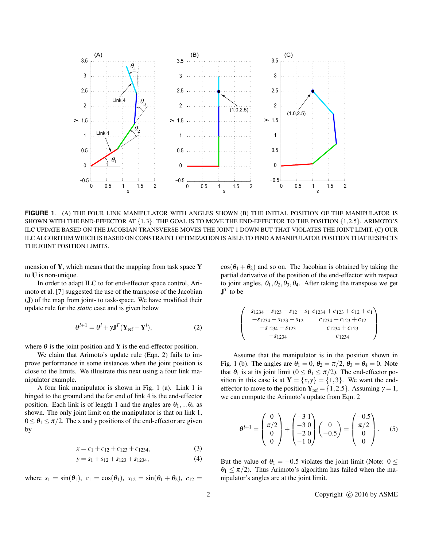

**FIGURE 1**. (A) THE FOUR LINK MANIPULATOR WITH ANGLES SHOWN (B) THE INITIAL POSITION OF THE MANIPULATOR IS SHOWN WITH THE END-EFFECTOR AT {1,3}. THE GOAL IS TO MOVE THE END-EFFECTOR TO THE POSITION {1,2.5}. ARIMOTO'S ILC UPDATE BASED ON THE JACOBIAN TRANSVERSE MOVES THE JOINT 1 DOWN BUT THAT VIOLATES THE JOINT LIMIT. (C) OUR ILC ALGORITHM WHICH IS BASED ON CONSTRAINT OPTIMIZATION IS ABLE TO FIND A MANIPULATOR POSITION THAT RESPECTS THE JOINT POSITION LIMITS.

mension of  $Y$ , which means that the mapping from task space  $Y$ to U is non-unique.

In order to adapt ILC to for end-effector space control, Arimoto et al. [7] suggested the use of the transpose of the Jacobian (J) of the map from joint- to task-space. We have modified their update rule for the *static* case and is given below

$$
\theta^{i+1} = \theta^i + \gamma \mathbf{J}^T (\mathbf{Y}_{\text{ref}} - \mathbf{Y}^i), \tag{2}
$$

where  $\theta$  is the joint position and **Y** is the end-effector position.

We claim that Arimoto's update rule (Eqn. 2) fails to improve performance in some instances when the joint position is close to the limits. We illustrate this next using a four link manipulator example.

A four link manipulator is shown in Fig. 1 (a). Link 1 is hinged to the ground and the far end of link 4 is the end-effector position. Each link is of length 1 and the angles are  $\theta_1$ ,... $\theta_4$  as shown. The only joint limit on the manipulator is that on link 1,  $0 \le \theta_1 \le \pi/2$ . The x and y positions of the end-effector are given by

$$
x = c_1 + c_{12} + c_{123} + c_{1234}, \tag{3}
$$

$$
y = s_1 + s_{12} + s_{123} + s_{1234}, \tag{4}
$$

where  $s_1 = \sin(\theta_1)$ ,  $c_1 = \cos(\theta_1)$ ,  $s_{12} = \sin(\theta_1 + \theta_2)$ ,  $c_{12} =$ 

 $cos(\theta_1 + \theta_2)$  and so on. The Jacobian is obtained by taking the partial derivative of the position of the end-effector with respect to joint angles,  $\theta_1$ ,  $\theta_2$ ,  $\theta_3$ ,  $\theta_4$ . After taking the transpose we get  $\mathbf{J}^T$  to be

$$
\begin{pmatrix}\n-s_{1234} - s_{123} - s_{12} - s_1 & c_{1234} + c_{123} + c_{12} + c_1 \\
-s_{1234} - s_{123} - s_{12} & c_{1234} + c_{123} + c_{12} \\
-s_{1234} - s_{123} & c_{1234} + c_{123} \\
-s_{1234} & c_{1234}\n\end{pmatrix}
$$

Assume that the manipulator is in the position shown in Fig. 1 (b). The angles are  $\theta_1 = 0$ ,  $\theta_2 = \pi/2$ ,  $\theta_3 = \theta_4 = 0$ . Note that  $\theta_1$  is at its joint limit ( $0 \le \theta_1 \le \pi/2$ ). The end-effector position in this case is at  $Y = \{x, y\} = \{1, 3\}$ . We want the endeffector to move to the position  $Y_{ref} = \{1, 2.5\}$ . Assuming  $\gamma = 1$ , we can compute the Arimoto's update from Eqn. 2

$$
\theta^{i+1} = \begin{pmatrix} 0 \\ \pi/2 \\ 0 \\ 0 \end{pmatrix} + \begin{pmatrix} -3 & 1 \\ -3 & 0 \\ -2 & 0 \\ -1 & 0 \end{pmatrix} \begin{pmatrix} 0 \\ -0.5 \\ 0 \end{pmatrix} = \begin{pmatrix} -0.5 \\ \pi/2 \\ 0 \\ 0 \end{pmatrix}.
$$
 (5)

But the value of  $\theta_1 = -0.5$  violates the joint limit (Note:  $0 \le$  $\theta_1 \leq \pi/2$ ). Thus Arimoto's algorithm has failed when the manipulator's angles are at the joint limit.

2 Copyright (c) 2016 by ASME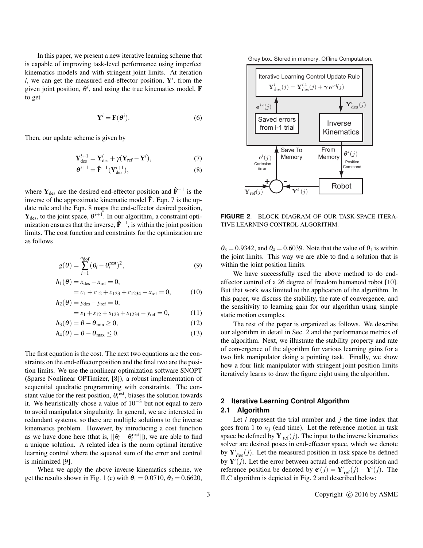In this paper, we present a new iterative learning scheme that is capable of improving task-level performance using imperfect kinematics models and with stringent joint limits. At iteration  $i$ , we can get the measured end-effector position,  $Y^i$ , from the given joint position,  $\theta^i$ , and using the true kinematics model, **F** to get

$$
\mathbf{Y}^i = \mathbf{F}(\boldsymbol{\theta}^i). \tag{6}
$$

Then, our update scheme is given by

$$
\mathbf{Y}_{\text{des}}^{i+1} = \mathbf{Y}_{\text{des}}^i + \gamma (\mathbf{Y}_{\text{ref}} - \mathbf{Y}^i),\tag{7}
$$

$$
\boldsymbol{\theta}^{i+1} = \hat{\mathbf{F}}^{-1}(\mathbf{Y}_{\text{des}}^{i+1}),\tag{8}
$$

where  $Y_{des}$  are the desired end-effector position and  $\hat{F}^{-1}$  is the inverse of the approximate kinematic model  $\hat{F}$ . Eqn. 7 is the update rule and the Eqn. 8 maps the end-effector desired position,  $Y_{des}$ , to the joint space,  $\theta^{i+1}$ . In our algorithm, a constraint optimization ensures that the inverse,  $\hat{F}^{-1}$ , is within the joint position limits. The cost function and constraints for the optimization are as follows

$$
g(\theta) = \sum_{i=1}^{n_{\text{dof}}} (\theta_i - \theta_i^{\text{rest}})^2,
$$
\n(9)

$$
h_1(\theta) = x_{\text{des}} - x_{\text{ref}} = 0,
$$
  
=  $c_1 + c_{12} + c_{123} + c_{1234} - x_{\text{ref}} = 0,$  (10)

$$
h_2(\theta) = y_{\text{des}} - y_{\text{ref}} = 0,
$$

$$
= s_1 + s_{12} + s_{123} + s_{1234} - y_{ref} = 0, \tag{11}
$$

$$
h_3(\theta) = \theta - \theta_{\min} \ge 0, \tag{12}
$$

$$
h_4(\theta) = \theta - \theta_{\text{max}} \le 0. \tag{13}
$$

The first equation is the cost. The next two equations are the constraints on the end-effector position and the final two are the position limits. We use the nonlinear optimization software SNOPT (Sparse Nonlinear OPTimizer, [8]), a robust implementation of sequential quadratic programming with constraints. The constant value for the rest position,  $\theta_i^{\text{rest}}$ , biases the solution towards it. We heuristically chose a value of  $10^{-3}$  but not equal to zero to avoid manipulator singularity. In general, we are interested in redundant systems, so there are multiple solutions to the inverse kinematics problem. However, by introducing a cost function as we have done here (that is,  $||\theta_i - \theta_i^{\text{rest}}||$ ), we are able to find a unique solution. A related idea is the norm optimal iterative learning control where the squared sum of the error and control is minimized [9].

When we apply the above inverse kinematics scheme, we get the results shown in Fig. 1 (c) with  $\theta_1 = 0.0710$ ,  $\theta_2 = 0.6620$ ,

Grey box. Stored in memory. Offline Computation.



**FIGURE 2**. BLOCK DIAGRAM OF OUR TASK-SPACE ITERA-TIVE LEARNING CONTROL ALGORITHM.

 $\theta_3 = 0.9342$ , and  $\theta_4 = 0.6039$ . Note that the value of  $\theta_1$  is within the joint limits. This way we are able to find a solution that is within the joint position limits.

We have successfully used the above method to do endeffector control of a 26 degree of freedom humanoid robot [10]. But that work was limited to the application of the algorithm. In this paper, we discuss the stability, the rate of convergence, and the sensitivity to learning gain for our algorithm using simple static motion examples.

The rest of the paper is organized as follows. We describe our algorithm in detail in Sec. 2 and the performance metrics of the algorithm. Next, we illustrate the stability property and rate of convergence of the algorithm for various learning gains for a two link manipulator doing a pointing task. Finally, we show how a four link manipulator with stringent joint position limits iteratively learns to draw the figure eight using the algorithm.

## **2 Iterative Learning Control Algorithm 2.1 Algorithm**

Let  $i$  represent the trial number and  $j$  the time index that goes from 1 to  $n_j$  (end time). Let the reference motion in task space be defined by  $Y_{ref}(j)$ . The input to the inverse kinematics solver are desired poses in end-effector space, which we denote by  $Y^i_{des}(j)$ . Let the measured position in task space be defined by  $Y^{i}(j)$ . Let the error between actual end-effector position and reference position be denoted by  $\mathbf{e}^{i}(j) = \mathbf{Y}_{ref}^{i}(j) - \mathbf{Y}^{i}(j)$ . The ILC algorithm is depicted in Fig. 2 and described below: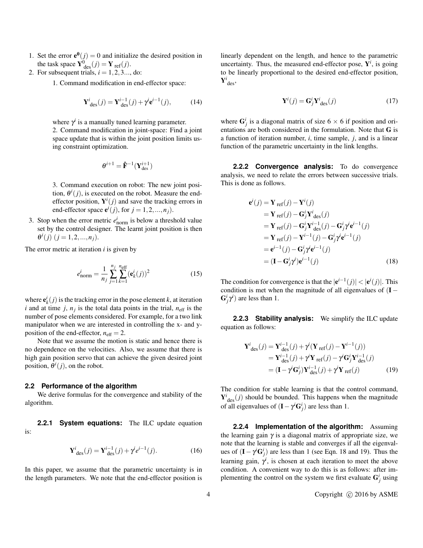- 1. Set the error  $e^{\theta}(j) = 0$  and initialize the desired position in the task space  $\mathbf{Y}_{\text{des}}^0(j) = \mathbf{Y}_{\text{ref}}(j)$ .
- 2. For subsequent trials,  $i = 1, 2, 3, \ldots$ , do:

1. Command modification in end-effector space:

$$
\mathbf{Y}^{i}_{\text{des}}(j) = \mathbf{Y}^{i-1}_{\text{des}}(j) + \gamma^{i} \mathbf{e}^{i-1}(j), \quad (14)
$$

where  $\gamma^i$  is a manually tuned learning parameter.

2. Command modification in joint-space: Find a joint space update that is within the joint position limits using constraint optimization.

$$
\boldsymbol{\theta}^{i+1} = \mathbf{\hat{F}}^{-1}(\mathbf{Y}_{\text{des}}^{i+1})
$$

3. Command execution on robot: The new joint position,  $\theta^i(j)$ , is executed on the robot. Measure the endeffector position,  $Y^{i}(j)$  and save the tracking errors in end-effector space  $e^{i}(j)$ , for  $j = 1, 2, ..., n<sub>j</sub>$ ).

3. Stop when the error metric  $e_{\text{norm}}^i$  is below a threshold value set by the control designer. The learnt joint position is then  $\theta^{i}(j)$   $(j = 1, 2, ..., n_{j}).$ 

The error metric at iteration *i* is given by

$$
e_{\text{norm}}^i = \frac{1}{n_j} \sum_{j=1}^{n_j} \sum_{k=1}^{n_{\text{eff}}} (\mathbf{e}_k^i(j))^2
$$
 (15)

where  $\mathbf{e}_k^i(j)$  is the tracking error in the pose element *k*, at iteration *i* and at time *j*,  $n_j$  is the total data points in the trial,  $n_{\text{eff}}$  is the number of pose elements considered. For example, for a two link manipulator when we are interested in controlling the x- and yposition of the end-effector,  $n_{\text{eff}} = 2$ .

Note that we assume the motion is static and hence there is no dependence on the velocities. Also, we assume that there is high gain position servo that can achieve the given desired joint position,  $\theta^i(j)$ , on the robot.

#### **2.2 Performance of the algorithm**

We derive formulas for the convergence and stability of the algorithm.

**2.2.1 System equations:** The ILC update equation is:

$$
\mathbf{Y}^{i}_{\text{des}}(j) = \mathbf{Y}^{i-1}_{\text{des}}(j) + \gamma^{i} e^{i-1}(j). \tag{16}
$$

In this paper, we assume that the parametric uncertainty is in the length parameters. We note that the end-effector position is linearly dependent on the length, and hence to the parametric uncertainty. Thus, the measured end-effector pose,  $Y^i$ , is going to be linearly proportional to the desired end-effector position,  ${\bf Y}_{\rm des}^i$ 

$$
\mathbf{Y}^{i}(j) = \mathbf{G}_{j}^{i} \mathbf{Y}_{\text{des}}^{i}(j)
$$
 (17)

where  $G_j^i$  is a diagonal matrix of size  $6 \times 6$  if position and orientations are both considered in the formulation. Note that G is a function of iteration number, *i*, time sample, *j*, and is a linear function of the parametric uncertainty in the link lengths.

**2.2.2 Convergence analysis:** To do convergence analysis, we need to relate the errors between successive trials. This is done as follows.

$$
\mathbf{e}^{i}(j) = \mathbf{Y}_{\text{ref}}(j) - \mathbf{Y}^{i}(j)
$$
\n
$$
= \mathbf{Y}_{\text{ref}}(j) - \mathbf{G}^{i}_{j}\mathbf{Y}^{i}_{\text{des}}(j)
$$
\n
$$
= \mathbf{Y}_{\text{ref}}(j) - \mathbf{G}^{i}_{j}\mathbf{Y}^{i-1}_{\text{des}}(j) - \mathbf{G}^{i}_{j}\gamma^{i}\mathbf{e}^{i-1}(j)
$$
\n
$$
= \mathbf{Y}_{\text{ref}}(j) - \mathbf{Y}^{i-1}(j) - \mathbf{G}^{i}_{j}\gamma^{i}\mathbf{e}^{i-1}(j)
$$
\n
$$
= \mathbf{e}^{i-1}(j) - \mathbf{G}^{i}_{j}\gamma^{i}\mathbf{e}^{i-1}(j)
$$
\n
$$
= (\mathbf{I} - \mathbf{G}^{i}_{j}\gamma^{i})\mathbf{e}^{i-1}(j) \qquad (18)
$$

The condition for convergence is that the  $|e^{i-1}(j)| < |e^{i}(j)|$ . This condition is met when the magnitude of all eigenvalues of  $(I G^i_j \gamma^i$ ) are less than 1.

**2.2.3 Stability analysis:** We simplify the ILC update equation as follows:

$$
\mathbf{Y}_{\text{des}}^{i}(j) = \mathbf{Y}_{\text{des}}^{i-1}(j) + \gamma^{i}(\mathbf{Y}_{\text{ref}}(j) - \mathbf{Y}^{i-1}(j))
$$
\n
$$
= \mathbf{Y}_{\text{des}}^{i-1}(j) + \gamma^{i} \mathbf{Y}_{\text{ref}}(j) - \gamma^{i} \mathbf{G}_{j}^{i} \mathbf{Y}_{\text{des}}^{i-1}(j)
$$
\n
$$
= (\mathbf{I} - \gamma^{i} \mathbf{G}_{j}^{i}) \mathbf{Y}_{\text{des}}^{i-1}(j) + \gamma^{i} \mathbf{Y}_{\text{ref}}(j) \tag{19}
$$

The condition for stable learning is that the control command,  $Y^i_{\text{des}}(j)$  should be bounded. This happens when the magnitude of all eigenvalues of  $(I - \gamma^i G_j^i)$  are less than 1.

**2.2.4 Implementation of the algorithm:** Assuming the learning gain  $\gamma$  is a diagonal matrix of appropriate size, we note that the learning is stable and converges if all the eigenvalues of  $(I - \gamma^i G_j^i)$  are less than 1 (see Eqn. 18 and 19). Thus the learning gain,  $\gamma^i$ , is chosen at each iteration to meet the above condition. A convenient way to do this is as follows: after implementing the control on the system we first evaluate  $G_j^i$  using

4 Copyright (c) 2016 by ASME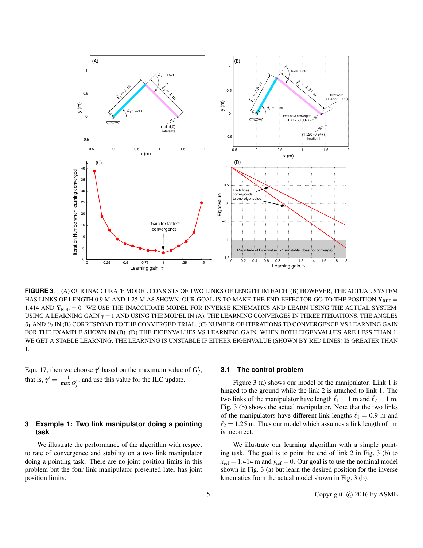

**FIGURE 3**. (A) OUR INACCURATE MODEL CONSISTS OF TWO LINKS OF LENGTH 1M EACH. (B) HOWEVER, THE ACTUAL SYSTEM HAS LINKS OF LENGTH 0.9 M AND 1.25 M AS SHOWN. OUR GOAL IS TO MAKE THE END-EFFECTOR GO TO THE POSITION  $Y_{REF}$ 1.414 AND  $Y_{REF} = 0$ . WE USE THE INACCURATE MODEL FOR INVERSE KINEMATICS AND LEARN USING THE ACTUAL SYSTEM. USING A LEARNING GAIN  $\gamma = 1$  AND USING THE MODEL IN (A), THE LEARNING CONVERGES IN THREE ITERATIONS. THE ANGLES  $\theta_1$  AND  $\theta_2$  IN (B) CORRESPOND TO THE CONVERGED TRIAL. (C) NUMBER OF ITERATIONS TO CONVERGENCE VS LEARNING GAIN FOR THE EXAMPLE SHOWN IN (B). (D) THE EIGENVALUES VS LEARNING GAIN. WHEN BOTH EIGENVALUES ARE LESS THAN 1, WE GET A STABLE LEARNING. THE LEARNING IS UNSTABLE IF EITHER EIGENVALUE (SHOWN BY RED LINES) IS GREATER THAN 1.

Eqn. 17, then we choose  $\gamma^i$  based on the maximum value of  $G^i_j$ , that is,  $\gamma^i = \frac{1}{\max G_j^i}$ , and use this value for the ILC update.

## **3 Example 1: Two link manipulator doing a pointing task**

We illustrate the performance of the algorithm with respect to rate of convergence and stability on a two link manipulator doing a pointing task. There are no joint position limits in this problem but the four link manipulator presented later has joint position limits.

## **3.1 The control problem**

Figure 3 (a) shows our model of the manipulator. Link 1 is hinged to the ground while the link 2 is attached to link 1. The two links of the manipulator have length  $\hat{\ell}_1 = 1$  m and  $\hat{\ell}_2 = 1$  m. Fig. 3 (b) shows the actual manipulator. Note that the two links of the manipulators have different link lengths  $\ell_1 = 0.9$  m and  $\ell_2 = 1.25$  m. Thus our model which assumes a link length of 1m is incorrect.

We illustrate our learning algorithm with a simple pointing task. The goal is to point the end of link 2 in Fig. 3 (b) to  $x_{\text{ref}} = 1.414 \text{ m}$  and  $y_{\text{ref}} = 0$ . Our goal is to use the nominal model shown in Fig. 3 (a) but learn the desired position for the inverse kinematics from the actual model shown in Fig. 3 (b).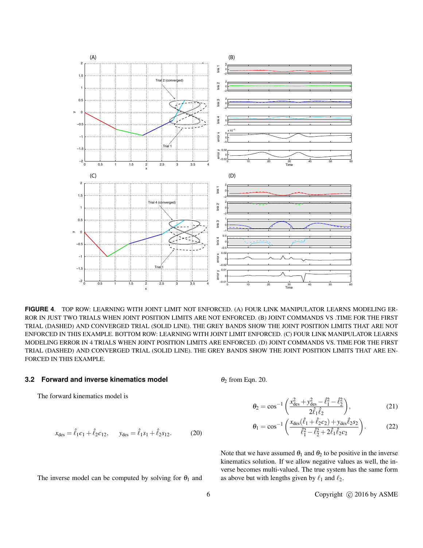

**FIGURE 4**. TOP ROW: LEARNING WITH JOINT LIMIT NOT ENFORCED. (A) FOUR LINK MANIPULATOR LEARNS MODELING ER-ROR IN JUST TWO TRIALS WHEN JOINT POSITION LIMITS ARE NOT ENFORCED. (B) JOINT COMMANDS VS .TIME FOR THE FIRST TRIAL (DASHED) AND CONVERGED TRIAL (SOLID LINE). THE GREY BANDS SHOW THE JOINT POSITION LIMITS THAT ARE NOT ENFORCED IN THIS EXAMPLE. BOTTOM ROW: LEARNING WITH JOINT LIMIT ENFORCED. (C) FOUR LINK MANIPULATOR LEARNS MODELING ERROR IN 4 TRIALS WHEN JOINT POSITION LIMITS ARE ENFORCED. (D) JOINT COMMANDS VS. TIME FOR THE FIRST TRIAL (DASHED) AND CONVERGED TRIAL (SOLID LINE). THE GREY BANDS SHOW THE JOINT POSITION LIMITS THAT ARE EN-FORCED IN THIS EXAMPLE.

## **3.2 Forward and inverse kinematics model**

The forward kinematics model is

$$
x_{\text{des}} = \hat{\ell}_1 c_1 + \hat{\ell}_2 c_{12}, \qquad y_{\text{des}} = \hat{\ell}_1 s_1 + \hat{\ell}_2 s_{12}. \tag{20}
$$

The inverse model can be computed by solving for  $\theta_1$  and

 $\theta_2$  from Eqn. 20.

$$
\theta_2 = \cos^{-1}\left(\frac{x_{\text{des}}^2 + y_{\text{des}}^2 - \hat{\ell}_1^2 - \hat{\ell}_2^2}{2\hat{\ell}_1 \hat{\ell}_2}\right),\tag{21}
$$

$$
\theta_1 = \cos^{-1}\left(\frac{x_{\text{des}}(\hat{\ell}_1 + \hat{\ell}_2 c_2) + y_{\text{des}}\hat{\ell}_2 s_2}{\hat{\ell}_1^2 - \hat{\ell}_2^2 + 2\hat{\ell}_1 \hat{\ell}_2 c_2}\right).
$$
 (22)

Note that we have assumed  $\theta_1$  and  $\theta_2$  to be positive in the inverse kinematics solution. If we allow negative values as well, the inverse becomes multi-valued. The true system has the same form as above but with lengths given by  $\ell_1$  and  $\ell_2$ .

6 Copyright © 2016 by ASME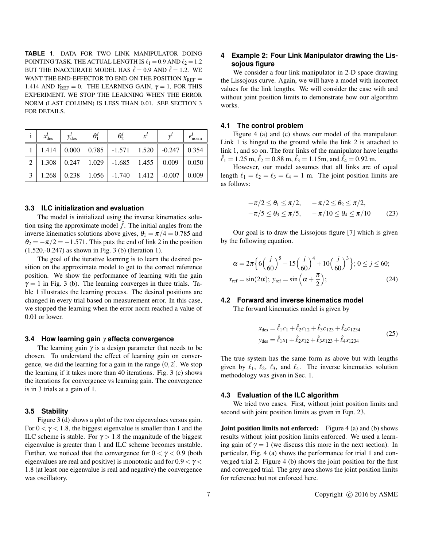**TABLE 1**. DATA FOR TWO LINK MANIPULATOR DOING POINTING TASK. THE ACTUAL LENGTH IS  $\ell_1 = 0.9$  AND  $\ell_2 = 1.2$ BUT THE INACCURATE MODEL HAS  $\hat{\ell} = 0.9$  AND  $\hat{\ell} = 1.2$ . WE WANT THE END-EFFECTOR TO END ON THE POSITION  $X_{REF}$ 1.414 AND  $Y_{REF} = 0$ . THE LEARNING GAIN,  $\gamma = 1$ , FOR THIS EXPERIMENT. WE STOP THE LEARNING WHEN THE ERROR NORM (LAST COLUMN) IS LESS THAN 0.01. SEE SECTION 3 FOR DETAILS.

|   | $x_{\text{des}}'$ | $y'_{\text{des}}$       | $\theta_1^l$ | $\theta_2^l$                                                    | $x^{\iota}$ | norm  |
|---|-------------------|-------------------------|--------------|-----------------------------------------------------------------|-------------|-------|
|   | 1.414             |                         |              | $\vert 0.000 \vert 0.785 \vert -1.571 \vert 1.520 \vert -0.247$ |             | 0.354 |
| 2 |                   | $1.308$   0.247   1.029 |              | $-1.685$   $1.455$   0.009                                      |             | 0.050 |
| 3 | 1.268             | 0.238                   |              | $1.056$ -1.740   1.412   -0.007                                 |             | 0.009 |

#### **3.3 ILC initialization and evaluation**

The model is initialized using the inverse kinematics solution using the approximate model  $\hat{f}$ . The initial angles from the inverse kinematics solutions above gives,  $\theta_1 = \pi/4 = 0.785$  and  $\theta_2 = -\pi/2 = -1.571$ . This puts the end of link 2 in the position (1.520,-0.247) as shown in Fig. 3 (b) (Iteration 1).

The goal of the iterative learning is to learn the desired position on the approximate model to get to the correct reference position. We show the performance of learning with the gain  $\gamma = 1$  in Fig. 3 (b). The learning converges in three trials. Table 1 illustrates the learning process. The desired positions are changed in every trial based on measurement error. In this case, we stopped the learning when the error norm reached a value of 0.01 or lower.

#### **3.4 How learning gain** γ **affects convergence**

The learning gain  $\gamma$  is a design parameter that needs to be chosen. To understand the effect of learning gain on convergence, we did the learning for a gain in the range  $(0, 2]$ . We stop the learning if it takes more than 40 iterations. Fig. 3 (c) shows the iterations for convergence vs learning gain. The convergence is in 3 trials at a gain of 1.

### **3.5 Stability**

Figure 3 (d) shows a plot of the two eigenvalues versus gain. For  $0 < \gamma < 1.8$ , the biggest eigenvalue is smaller than 1 and the ILC scheme is stable. For  $\gamma > 1.8$  the magnitude of the biggest eigenvalue is greater than 1 and ILC scheme becomes unstable. Further, we noticed that the convergence for  $0 < \gamma < 0.9$  (both eigenvalues are real and positive) is monotonic and for  $0.9 < \gamma <$ 1.8 (at least one eigenvalue is real and negative) the convergence was oscillatory.

## **4 Example 2: Four Link Manipulator drawing the Lissojous figure**

We consider a four link manipulator in 2-D space drawing the Lissojous curve. Again, we will have a model with incorrect values for the link lengths. We will consider the case with and without joint position limits to demonstrate how our algorithm works.

#### **4.1 The control problem**

Figure 4 (a) and (c) shows our model of the manipulator. Link 1 is hinged to the ground while the link 2 is attached to link 1, and so on. The four links of the manipulator have lengths  $\hat{\ell}_1 = 1.25$  m,  $\hat{\ell}_2 = 0.88$  m,  $\hat{\ell}_3 = 1.15$ m, and  $\hat{\ell}_4 = 0.92$  m.

However, our model assumes that all links are of equal length  $\ell_1 = \ell_2 = \ell_3 = \ell_4 = 1$  m. The joint position limits are as follows:

$$
-\pi/2 \le \theta_1 \le \pi/2, \quad -\pi/2 \le \theta_2 \le \pi/2, -\pi/5 \le \theta_3 \le \pi/5, \quad -\pi/10 \le \theta_4 \le \pi/10 \qquad (23)
$$

Our goal is to draw the Lissojous figure [7] which is given by the following equation.

$$
\alpha = 2\pi \Big\{ 6\Big(\frac{j}{60}\Big)^5 - 15\Big(\frac{j}{60}\Big)^4 + 10\Big(\frac{j}{60}\Big)^3 \Big\}; 0 \le j \le 60; x_{\text{ref}} = \sin(2\alpha); \ y_{\text{ref}} = \sin\Big(\alpha + \frac{\pi}{2}\Big);
$$
 (24)

## **4.2 Forward and inverse kinematics model**

The forward kinematics model is given by

$$
x_{\text{des}} = \hat{\ell}_1 c_1 + \hat{\ell}_2 c_{12} + \hat{\ell}_3 c_{123} + \hat{\ell}_4 c_{1234}
$$
  
\n
$$
y_{\text{des}} = \hat{\ell}_1 s_1 + \hat{\ell}_2 s_{12} + \hat{\ell}_3 s_{123} + \hat{\ell}_4 s_{1234}
$$
\n(25)

The true system has the same form as above but with lengths given by  $\ell_1, \ell_2, \ell_3$ , and  $\ell_4$ . The inverse kinematics solution methodology was given in Sec. 1.

## **4.3 Evaluation of the ILC algorithm**

We tried two cases. First, without joint position limits and second with joint position limits as given in Eqn. 23.

**Joint position limits not enforced:** Figure 4 (a) and (b) shows results without joint position limits enforced. We used a learning gain of  $\gamma = 1$  (we discuss this more in the next section). In particular, Fig. 4 (a) shows the performance for trial 1 and converged trial 2. Figure 4 (b) shows the joint position for the first and converged trial. The grey area shows the joint position limits for reference but not enforced here.